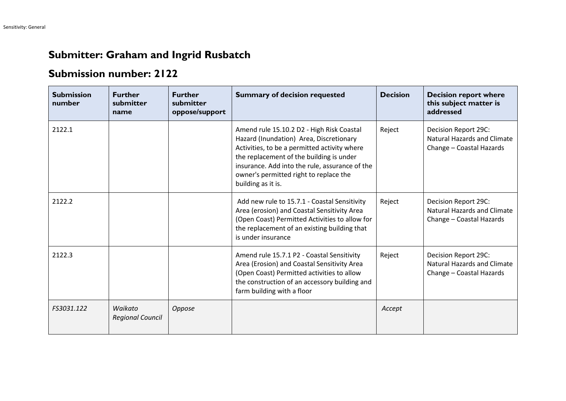## **Submitter: Graham and Ingrid Rusbatch**

## **Submission number: 2122**

| <b>Submission</b><br>number | <b>Further</b><br>submitter<br>name | <b>Further</b><br>submitter<br>oppose/support | <b>Summary of decision requested</b>                                                                                                                                                                                                                                                               | <b>Decision</b> | <b>Decision report where</b><br>this subject matter is<br>addressed                    |
|-----------------------------|-------------------------------------|-----------------------------------------------|----------------------------------------------------------------------------------------------------------------------------------------------------------------------------------------------------------------------------------------------------------------------------------------------------|-----------------|----------------------------------------------------------------------------------------|
| 2122.1                      |                                     |                                               | Amend rule 15.10.2 D2 - High Risk Coastal<br>Hazard (Inundation) Area, Discretionary<br>Activities, to be a permitted activity where<br>the replacement of the building is under<br>insurance. Add into the rule, assurance of the<br>owner's permitted right to replace the<br>building as it is. | Reject          | Decision Report 29C:<br><b>Natural Hazards and Climate</b><br>Change - Coastal Hazards |
| 2122.2                      |                                     |                                               | Add new rule to 15.7.1 - Coastal Sensitivity<br>Area (erosion) and Coastal Sensitivity Area<br>(Open Coast) Permitted Activities to allow for<br>the replacement of an existing building that<br>is under insurance                                                                                | Reject          | Decision Report 29C:<br><b>Natural Hazards and Climate</b><br>Change - Coastal Hazards |
| 2122.3                      |                                     |                                               | Amend rule 15.7.1 P2 - Coastal Sensitivity<br>Area (Erosion) and Coastal Sensitivity Area<br>(Open Coast) Permitted activities to allow<br>the construction of an accessory building and<br>farm building with a floor                                                                             | Reject          | Decision Report 29C:<br><b>Natural Hazards and Climate</b><br>Change - Coastal Hazards |
| FS3031.122                  | Waikato<br><b>Regional Council</b>  | Oppose                                        |                                                                                                                                                                                                                                                                                                    | Accept          |                                                                                        |